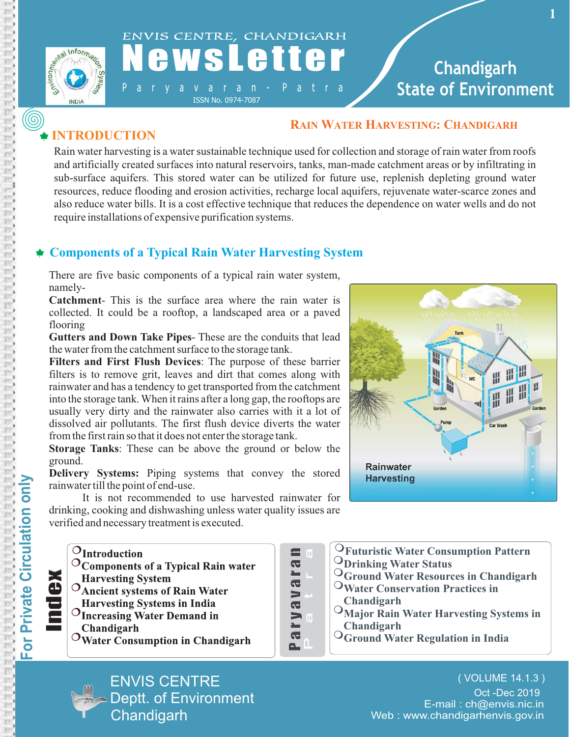



# a v a r a n - P a t r a

ISSN No. 0974-7087

## **Chandigarh State of Environment**

### **INTRODUCTION**

### **RAIN WATER HARVESTING: CHANDIGARH**

Rain water harvesting is a water sustainable technique used for collection and storage of rain water from roofs and artificially created surfaces into natural reservoirs, tanks, man-made catchment areas or by infiltrating in sub-surface aquifers. This stored water can be utilized for future use, replenish depleting ground water resources, reduce flooding and erosion activities, recharge local aquifers, rejuvenate water-scarce zones and also reduce water bills. It is a cost effective technique that reduces the dependence on water wells and do not require installations of expensive purification systems.

### **Components of a Typical Rain Water Harvesting System**

There are five basic components of a typical rain water system, namely-

**Catchment**- This is the surface area where the rain water is collected. It could be a rooftop, a landscaped area or a paved flooring

**Gutters and Down Take Pipes**- These are the conduits that lead the water from the catchment surface to the storage tank.

**Filters and First Flush Devices**: The purpose of these barrier filters is to remove grit, leaves and dirt that comes along with rainwater and has a tendency to get transported from the catchment into the storage tank. When it rains after a long gap, the rooftops are usually very dirty and the rainwater also carries with it a lot of dissolved air pollutants. The first flush device diverts the water from the first rain so that it does not enter the storage tank.

**Storage Tanks**: These can be above the ground or below the ground.

**Delivery Systems:** Piping systems that convey the stored rainwater till the point of end-use.

It is not recommended to use harvested rainwater for drinking, cooking and dishwashing unless water quality issues are verified and necessary treatment is executed.



ENVIS CENTRE

**Chandigarh** 

Deptt. of Environment



| $\overline{0}$   | <sup>O</sup> Futuristic Water Consumption Pattern    |
|------------------|------------------------------------------------------|
|                  | <b>ODrinking Water Status</b>                        |
| $\mathbf{L}_{-}$ | <sup>O</sup> Ground Water Resources in Chandigarh    |
|                  | <sup>O</sup> Water Conservation Practices in         |
|                  | Chandigarh                                           |
| $\overline{0}$   | <sup>O</sup> Major Rain Water Harvesting Systems in  |
|                  | Chandigarh                                           |
| n                | $\mathrm{O}_\text{Ground Water Regulation}$ in India |
|                  |                                                      |

E-mail : ch@envis.nic.in Web : www.chandigarhenvis.gov.in ( VOLUME 14.1.3 ) Oct -Dec 2019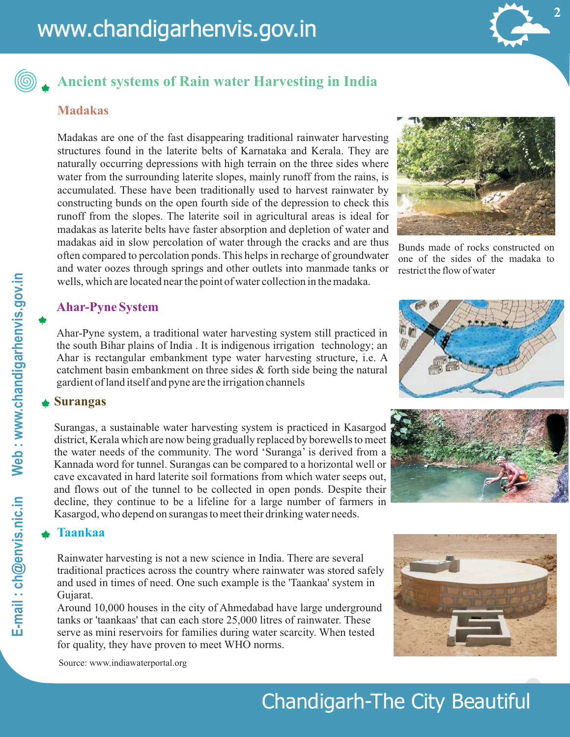

### **Ancient systems of Rain water Harvesting in India**

#### **Madakas**

Madakas are one of the fast disappearing traditional rainwater harvesting structures found in the laterite belts of Karnataka and Kerala. They are naturally occurring depressions with high terrain on the three sides where water from the surrounding laterite slopes, mainly runoff from the rains, is accumulated. These have been traditionally used to harvest rainwater by constructing bunds on the open fourth side of the depression to check this runoff from the slopes. The laterite soil in agricultural areas is ideal for madakas as laterite belts have faster absorption and depletion of water and madakas aid in slow percolation of water through the cracks and are thus often compared to percolation ponds. This helps in recharge of groundwater and water oozes through springs and other outlets into manmade tanks or wells, which are located near the point of water collection in the madaka.



Bunds made of rocks constructed on one of the sides of the madaka to restrict the flow of water

#### **Ahar-Pyne System**

Ahar-Pyne system, a traditional water harvesting system still practiced in the south Bihar plains of India . It is indigenous irrigation technology; an Ahar is rectangular embankment type water harvesting structure, i.e. A catchment basin embankment on three sides & forth side being the natural gardient of land itself and pyne are the irrigation channels

#### **Surangas**

Surangas, a sustainable water harvesting system is practiced in Kasargod district, Kerala which are now being gradually replaced by borewells to meet the water needs of the community. The word 'Suranga' is derived from a Kannada word for tunnel. Surangas can be compared to a horizontal well or cave excavated in hard laterite soil formations from which water seeps out, and flows out of the tunnel to be collected in open ponds. Despite their decline, they continue to be a lifeline for a large number of farmers in Kasargod, who depend on surangas to meet their drinking water needs.

#### **Taankaa**

Rainwater harvesting is not a new science in India. There are several traditional practices across the country where rainwater was stored safely and used in times of need. One such example is the 'Taankaa' system in Gujarat.

Around 10,000 houses in the city of Ahmedabad have large underground tanks or 'taankaas' that can each store 25,000 litres of rainwater. These serve as mini reservoirs for families during water scarcity. When tested for quality, they have proven to meet WHO norms.





Source: www.indiawaterportal.org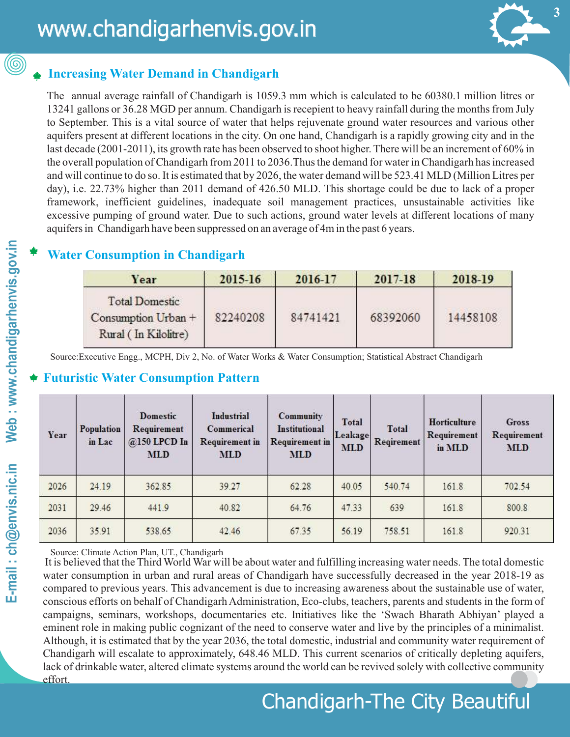## **Increasing Water Demand in Chandigarh**

The annual average rainfall of Chandigarh is 1059.3 mm which is calculated to be 60380.1 million litres or 13241 gallons or 36.28 MGD per annum. Chandigarh is recepient to heavy rainfall during the months from July to September. This is a vital source of water that helps rejuvenate ground water resources and various other aquifers present at different locations in the city. On one hand, Chandigarh is a rapidly growing city and in the last decade (2001-2011), its growth rate has been observed to shoot higher. There will be an increment of 60% in the overall population of Chandigarh from 2011 to 2036.Thus the demand for water in Chandigarh has increased and will continue to do so. It is estimated that by 2026, the water demand will be 523.41 MLD (Million Litres per day), i.e. 22.73% higher than 2011 demand of 426.50 MLD. This shortage could be due to lack of a proper framework, inefficient guidelines, inadequate soil management practices, unsustainable activities like excessive pumping of ground water. Due to such actions, ground water levels at different locations of many aquifers in Chandigarh have been suppressed on an average of 4m in the past 6 years.

### **Water Consumption in Chandigarh**

| Year                                                                 | 2015-16  | 2016-17  | 2017-18  | 2018-19  |
|----------------------------------------------------------------------|----------|----------|----------|----------|
| <b>Total Domestic</b><br>Consumption Urban +<br>Rural (In Kilolitre) | 82240208 | 84741421 | 68392060 | 14458108 |

Source:Executive Engg., MCPH, Div 2, No. of Water Works & Water Consumption; Statistical Abstract Chandigarh

### **Futuristic Water Consumption Pattern**

| Year | Population<br>in Lac | <b>Domestic</b><br>Requirement<br>@150 LPCD In<br><b>MLD</b> | <b>Industrial</b><br>Commerical<br><b>Requirement</b> in<br><b>MLD</b> | Community<br><b>Institutional</b><br><b>Requirement</b> in<br><b>MLD</b> | <b>Total</b><br>Leakage<br><b>MLD</b> | <b>Total</b><br>Reqirement | Horticulture<br>Requirement<br>in MLD | Gross<br>Requirement<br><b>MLD</b> |
|------|----------------------|--------------------------------------------------------------|------------------------------------------------------------------------|--------------------------------------------------------------------------|---------------------------------------|----------------------------|---------------------------------------|------------------------------------|
| 2026 | 24.19                | 362.85                                                       | 39.27                                                                  | 62.28                                                                    | 40.05                                 | 540.74                     | 161.8                                 | 702.54                             |
| 2031 | 29.46                | 441.9                                                        | 40.82                                                                  | 64.76                                                                    | 47.33                                 | 639                        | 161.8                                 | 800.8                              |
| 2036 | 35.91                | 538.65                                                       | 42.46                                                                  | 67.35                                                                    | 56.19                                 | 758.51                     | 161.8                                 | 920.31                             |

Source: Climate Action Plan, UT., Chandigarh

 It is believed that the Third World War will be about water and fulfilling increasing water needs. The total domestic water consumption in urban and rural areas of Chandigarh have successfully decreased in the year 2018-19 as compared to previous years. This advancement is due to increasing awareness about the sustainable use of water, conscious efforts on behalf of Chandigarh Administration, Eco-clubs, teachers, parents and students in the form of campaigns, seminars, workshops, documentaries etc. Initiatives like the 'Swach Bharath Abhiyan' played a eminent role in making public cognizant of the need to conserve water and live by the principles of a minimalist. Although, it is estimated that by the year 2036, the total domestic, industrial and community water requirement of Chandigarh will escalate to approximately, 648.46 MLD. This current scenarios of critically depleting aquifers, lack of drinkable water, altered climate systems around the world can be revived solely with collective community effort.

Chandigarh-The City Beautiful

0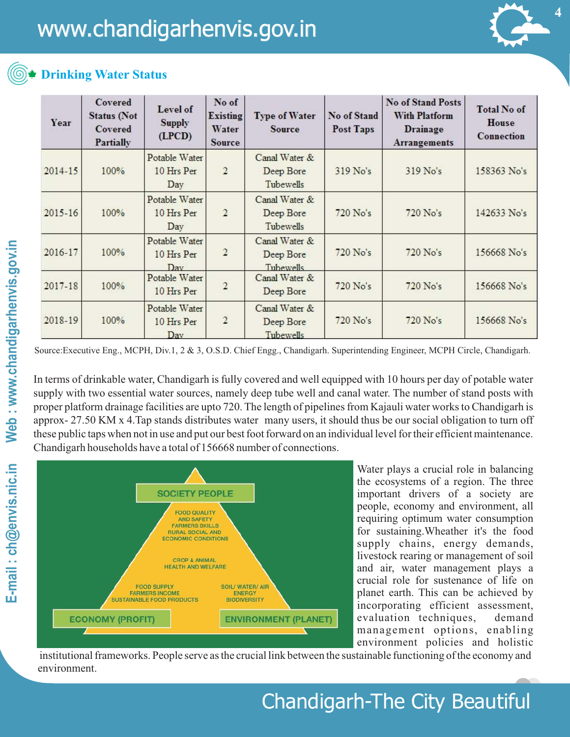

### **Drinking Water Status**

| Year        | Covered<br><b>Status</b> (Not<br>Covered<br>Partially | Level of<br><b>Supply</b><br>(LPCD) | No of<br><b>Existing</b><br>Water<br>Source | <b>Type of Water</b><br>Source                 | No of Stand<br>Post Taps | <b>No of Stand Posts</b><br><b>With Platform</b><br>Drainage<br>Arrangements | <b>Total No of</b><br>House<br>Connection |
|-------------|-------------------------------------------------------|-------------------------------------|---------------------------------------------|------------------------------------------------|--------------------------|------------------------------------------------------------------------------|-------------------------------------------|
| $2014 - 15$ | 100%                                                  | Potable Water<br>10 Hrs Per<br>Day  | $\overline{2}$                              | Canal Water &<br>Deep Bore<br>Tubewells        | 319 No's                 | 319 No's                                                                     | 158363 No's                               |
| 2015-16     | 100%                                                  | Potable Water<br>10 Hrs Per<br>Day  | $\overline{2}$                              | Canal Water &<br>Deep Bore<br>Tubewells        | 720 No's                 | 720 No's                                                                     | 142633 No's                               |
| 2016-17     | 100%                                                  | Potable Water<br>10 Hrs Per<br>Day  | 2                                           | Canal Water &<br>Deep Bore<br><b>Tubewells</b> | 720 No's                 | 720 No's                                                                     | 156668 No's                               |
| 2017-18     | 100%                                                  | Potable Water<br>10 Hrs Per         | $\overline{2}$                              | Canal Water &<br>Deep Bore                     | 720 No's                 | 720 No's                                                                     | 156668 No's                               |
| 2018-19     | 100%                                                  | Potable Water<br>10 Hrs Per<br>Day  | $\overline{2}$                              | Canal Water &<br>Deep Bore<br>Tubewells        | $720$ No's               | 720 No's                                                                     | 156668 No's                               |

Source:Executive Eng., MCPH, Div.1, 2 & 3, O.S.D. Chief Engg., Chandigarh. Superintending Engineer, MCPH Circle, Chandigarh.

In terms of drinkable water, Chandigarh is fully covered and well equipped with 10 hours per day of potable water supply with two essential water sources, namely deep tube well and canal water. The number of stand posts with proper platform drainage facilities are upto 720. The length of pipelines from Kajauli water works to Chandigarh is approx- 27.50 KM x 4.Tap stands distributes water many users, it should thus be our social obligation to turn off these public taps when not in use and put our best foot forward on an individual level for their efficient maintenance. Chandigarh households have a total of 156668 number of connections.



Water plays a crucial role in balancing the ecosystems of a region. The three important drivers of a society are people, economy and environment, all requiring optimum water consumption for sustaining.Wheather it's the food supply chains, energy demands, livestock rearing or management of soil and air, water management plays a crucial role for sustenance of life on planet earth. This can be achieved by incorporating efficient assessment, evaluation techniques, demand management options, enabling environment policies and holistic

 institutional frameworks. People serve as the crucial link between the sustainable functioning of the economy and environment.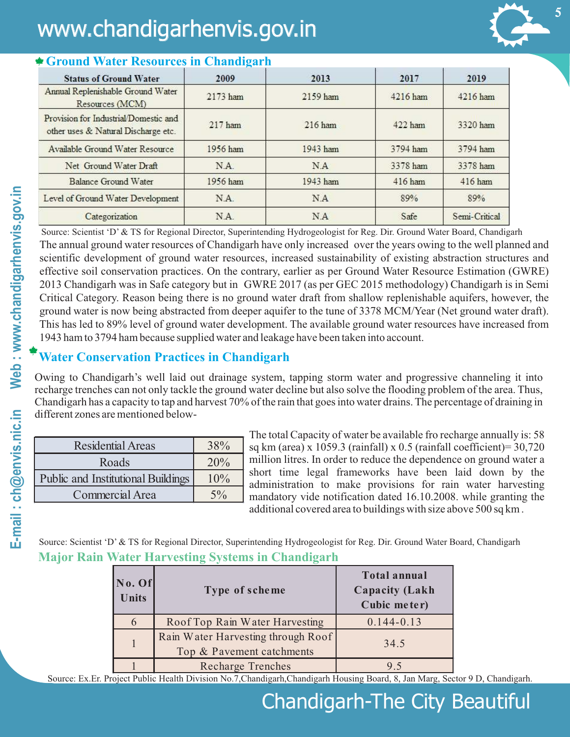

#### **Ground Water Resources in Chandigarh**

The annual ground water resources of Chandigarh have only increased over the years owing to the well planned and scientific development of ground water resources, increased sustainability of existing abstraction structures and effective soil conservation practices. On the contrary, earlier as per Ground Water Resource Estimation (GWRE) 2013 Chandigarh was in Safe category but in GWRE 2017 (as per GEC 2015 methodology) Chandigarh is in Semi Critical Category. Reason being there is no ground water draft from shallow replenishable aquifers, however, the ground water is now being abstracted from deeper aquifer to the tune of 3378 MCM/Year (Net ground water draft). This has led to 89% level of ground water development. The available ground water resources have increased from 1943 ham to 3794 ham because supplied water and leakage have been taken into account. Source: Scientist 'D' & TS for Regional Director, Superintending Hydrogeologist for Reg. Dir. Ground Water Board, Chandigarh

### **Water Conservation Practices in Chandigarh**

Owing to Chandigarh's well laid out drainage system, tapping storm water and progressive channeling it into recharge trenches can not only tackle the ground water decline but also solve the flooding problem of the area. Thus, Chandigarh has a capacity to tap and harvest 70% of the rain that goes into water drains. The percentage of draining in different zones are mentioned below-

| <b>Residential Areas</b>                  | 38%   | S(       |
|-------------------------------------------|-------|----------|
| Roads                                     | 20%   | n        |
| <b>Public and Institutional Buildings</b> | 10%   | sl<br>a. |
| <b>Commercial Area</b>                    | $5\%$ | n        |

The total Capacity of water be available fro recharge annually is: 58 q km (area) x 1059.3 (rainfall) x 0.5 (rainfall coefficient)=  $30,720$ million litres. In order to reduce the dependence on ground water a hort time legal frameworks have been laid down by the administration to make provisions for rain water harvesting mandatory vide notification dated 16.10.2008. while granting the additional covered area to buildings with size above 500 sq km .

**Major Rain Water Harvesting Systems in Chandigarh** Source: Scientist 'D' & TS for Regional Director, Superintending Hydrogeologist for Reg. Dir. Ground Water Board, Chandigarh

| No. Of<br><b>Units</b> | Type of scheme                                                  | <b>Total annual</b><br><b>Capacity (Lakh</b><br>Cubic meter) |
|------------------------|-----------------------------------------------------------------|--------------------------------------------------------------|
| 6                      | Roof Top Rain Water Harvesting                                  | $0.144 - 0.13$                                               |
|                        | Rain Water Harvesting through Roof<br>Top & Pavement catchments | 34.5                                                         |
|                        | <b>Recharge Trenches</b>                                        | 95                                                           |

Source: Ex.Er. Project Public Health Division No.7,Chandigarh,Chandigarh Housing Board, 8, Jan Marg, Sector 9 D, Chandigarh.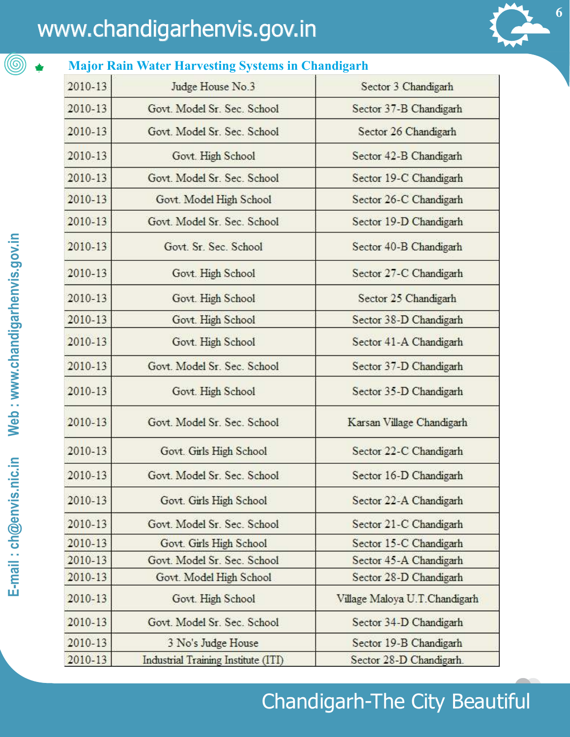**Major Rain Water Harvesting Systems in Chandigarh**



**6**

|         | глајог танн ттакст тва темпер бувсено не спанацан н |                               |
|---------|-----------------------------------------------------|-------------------------------|
| 2010-13 | Judge House No.3                                    | Sector 3 Chandigarh           |
| 2010-13 | Govt. Model Sr. Sec. School                         | Sector 37-B Chandigarh        |
| 2010-13 | Govt. Model Sr. Sec. School                         | Sector 26 Chandigarh          |
| 2010-13 | Govt. High School                                   | Sector 42-B Chandigarh        |
| 2010-13 | Govt. Model Sr. Sec. School                         | Sector 19-C Chandigarh        |
| 2010-13 | Govt. Model High School                             | Sector 26-C Chandigarh        |
| 2010-13 | Govt. Model Sr. Sec. School                         | Sector 19-D Chandigarh        |
| 2010-13 | Govt. Sr. Sec. School                               | Sector 40-B Chandigarh        |
| 2010-13 | Govt. High School                                   | Sector 27-C Chandigarh        |
| 2010-13 | Govt. High School                                   | Sector 25 Chandigarh          |
| 2010-13 | Govt. High School                                   | Sector 38-D Chandigarh        |
| 2010-13 | Govt. High School                                   | Sector 41-A Chandigarh        |
| 2010-13 | Govt. Model Sr. Sec. School                         | Sector 37-D Chandigarh        |
| 2010-13 | Govt. High School                                   | Sector 35-D Chandigarh        |
| 2010-13 | Govt. Model Sr. Sec. School                         | Karsan Village Chandigarh     |
| 2010-13 | Govt. Girls High School                             | Sector 22-C Chandigarh        |
| 2010-13 | Govt. Model Sr. Sec. School                         | Sector 16-D Chandigarh        |
| 2010-13 | Govt. Girls High School                             | Sector 22-A Chandigarh        |
| 2010-13 | Govt. Model Sr. Sec. School                         | Sector 21-C Chandigarh        |
| 2010-13 | Govt. Girls High School                             | Sector 15-C Chandigarh        |
| 2010-13 | Govt. Model Sr. Sec. School                         | Sector 45-A Chandigarh        |
| 2010-13 | Govt. Model High School                             | Sector 28-D Chandigarh        |
| 2010-13 | Govt. High School                                   | Village Maloya U.T.Chandigarh |
| 2010-13 | Govt. Model Sr. Sec. School                         | Sector 34-D Chandigarh        |
| 2010-13 | 3 No's Judge House                                  | Sector 19-B Chandigarh        |
| 2010-13 | Industrial Training Institute (ITI)                 | Sector 28-D Chandigarh        |

(©)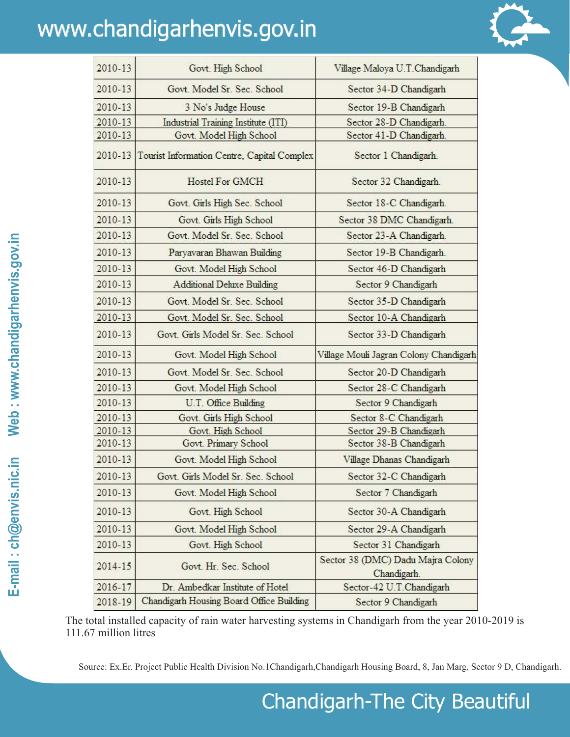

| 2010-13     | Govt. High School                           | Village Maloya U.T.Chandigarh                    |
|-------------|---------------------------------------------|--------------------------------------------------|
| 2010-13     | Govt, Model Sr. Sec. School                 | Sector 34-D Chandigarh                           |
| 2010-13     | 3 No's Judge House                          | Sector 19-B Chandigarh                           |
| 2010-13     | Industrial Training Institute (ITI)         | Sector 28-D Chandigarh.                          |
| 2010-13     | Govt. Model High School                     | Sector 41-D Chandigarh.                          |
| $2010 - 13$ | Tourist Information Centre, Capital Complex | Sector 1 Chandigarh.                             |
| 2010-13     | Hostel For GMCH                             | Sector 32 Chandigarh.                            |
| 2010-13     | Govt. Girls High Sec. School                | Sector 18-C Chandigarh.                          |
| 2010-13     | Govt. Girls High School                     | Sector 38 DMC Chandigarh.                        |
| 2010-13     | Govt, Model Sr. Sec. School                 | Sector 23-A Chandigarh.                          |
| 2010-13     | Paryavaran Bhawan Building                  | Sector 19-B Chandigarh.                          |
| 2010-13     | Govt. Model High School                     | Sector 46-D Chandigarh                           |
| 2010-13     | <b>Additional Deluxe Building</b>           | Sector 9 Chandigarh                              |
| 2010-13     | Govt. Model Sr. Sec. School                 | Sector 35-D Chandigarh                           |
| 2010-13     | Govt. Model Sr. Sec. School                 | Sector 10-A Chandigarh                           |
| 2010-13     | Govt. Girls Model Sr. Sec. School           | Sector 33-D Chandigarh                           |
| 2010-13     | Govt. Model High School                     | Village Mouli Jagran Colony Chandigarh           |
| 2010-13     | Govt. Model Sr. Sec. School                 | Sector 20-D Chandigarh                           |
| 2010-13     | Govt. Model High School                     | Sector 28-C Chandigarh                           |
| 2010-13     | U.T. Office Building                        | Sector 9 Chandigarh                              |
| 2010-13     | Govt. Girls High School                     | Sector 8-C Chandigarh                            |
| 2010-13     | Govt. High School                           | Sector 29-B Chandigarh                           |
| 2010-13     | Govt. Primary School                        | Sector 38-B Chandigarh                           |
| 2010-13     | Govt. Model High School                     | Village Dhanas Chandigarh                        |
| 2010-13     | Govt. Girls Model Sr. Sec. School           | Sector 32-C Chandigarh                           |
| 2010-13     | Govt. Model High School                     | Sector 7 Chandigarh                              |
| 2010-13     | Govt. High School                           | Sector 30-A Chandigarh                           |
| 2010-13     | Govt. Model High School                     | Sector 29-A Chandigarh                           |
| 2010-13     | Govt. High School                           | Sector 31 Chandigarh                             |
| 2014-15     | Govt. Hr. Sec. School                       | Sector 38 (DMC) Dadu Majra Colony<br>Chandigarh. |
| 2016-17     | Dr. Ambedkar Institute of Hotel             | Sector-42 U.T.Chandigarh                         |
| 2018-19     | Chandigarh Housing Board Office Building    | Sector 9 Chandigarh                              |

The total installed capacity of rain water harvesting systems in Chandigarh from the year 2010-2019 is 111.67 million litres

Source: Ex.Er. Project Public Health Division No.1Chandigarh,Chandigarh Housing Board, 8, Jan Marg, Sector 9 D, Chandigarh.